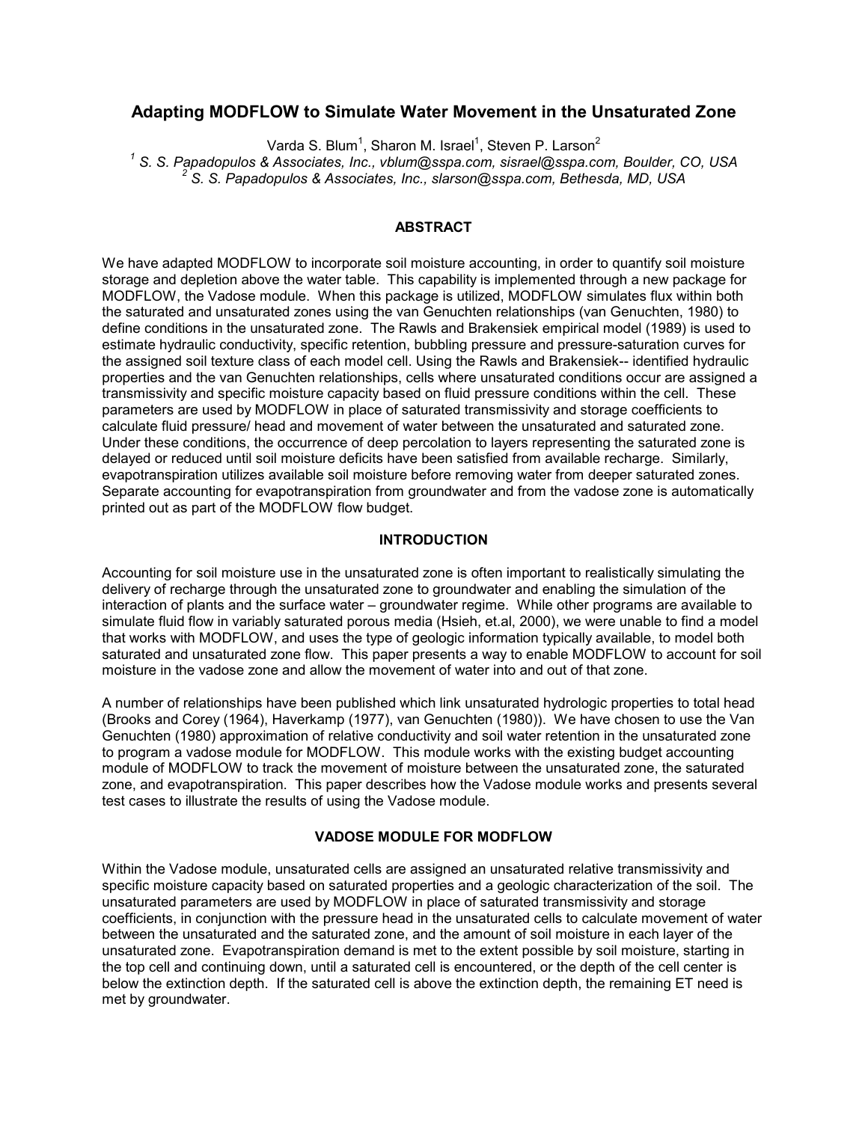# **Adapting MODFLOW to Simulate Water Movement in the Unsaturated Zone**

Varda S. Blum<sup>1</sup>, Sharon M. Israel<sup>1</sup>, Steven P. Larson<sup>2</sup>

<sup>1</sup> S. S. Papadopulos & Associates, Inc., vblum@sspa.com, sisrael@sspa.com, Boulder, CO, USA 22 S. S. Penadopulos & Associates, Inc., vblum@sspa.com, sisrael@sspa.com, Boulder, CO, USA  *S. S. Papadopulos & Associates, Inc., slarson@sspa.com, Bethesda, MD, USA*

#### **ABSTRACT**

We have adapted MODFLOW to incorporate soil moisture accounting, in order to quantify soil moisture storage and depletion above the water table. This capability is implemented through a new package for MODFLOW, the Vadose module. When this package is utilized, MODFLOW simulates flux within both the saturated and unsaturated zones using the van Genuchten relationships (van Genuchten, 1980) to define conditions in the unsaturated zone. The Rawls and Brakensiek empirical model (1989) is used to estimate hydraulic conductivity, specific retention, bubbling pressure and pressure-saturation curves for the assigned soil texture class of each model cell. Using the Rawls and Brakensiek-- identified hydraulic properties and the van Genuchten relationships, cells where unsaturated conditions occur are assigned a transmissivity and specific moisture capacity based on fluid pressure conditions within the cell. These parameters are used by MODFLOW in place of saturated transmissivity and storage coefficients to calculate fluid pressure/ head and movement of water between the unsaturated and saturated zone. Under these conditions, the occurrence of deep percolation to layers representing the saturated zone is delayed or reduced until soil moisture deficits have been satisfied from available recharge. Similarly, evapotranspiration utilizes available soil moisture before removing water from deeper saturated zones. Separate accounting for evapotranspiration from groundwater and from the vadose zone is automatically printed out as part of the MODFLOW flow budget.

## **INTRODUCTION**

Accounting for soil moisture use in the unsaturated zone is often important to realistically simulating the delivery of recharge through the unsaturated zone to groundwater and enabling the simulation of the interaction of plants and the surface water – groundwater regime. While other programs are available to simulate fluid flow in variably saturated porous media (Hsieh, et.al, 2000), we were unable to find a model that works with MODFLOW, and uses the type of geologic information typically available, to model both saturated and unsaturated zone flow. This paper presents a way to enable MODFLOW to account for soil moisture in the vadose zone and allow the movement of water into and out of that zone.

A number of relationships have been published which link unsaturated hydrologic properties to total head (Brooks and Corey (1964), Haverkamp (1977), van Genuchten (1980)). We have chosen to use the Van Genuchten (1980) approximation of relative conductivity and soil water retention in the unsaturated zone to program a vadose module for MODFLOW. This module works with the existing budget accounting module of MODFLOW to track the movement of moisture between the unsaturated zone, the saturated zone, and evapotranspiration. This paper describes how the Vadose module works and presents several test cases to illustrate the results of using the Vadose module.

## **VADOSE MODULE FOR MODFLOW**

Within the Vadose module, unsaturated cells are assigned an unsaturated relative transmissivity and specific moisture capacity based on saturated properties and a geologic characterization of the soil. The unsaturated parameters are used by MODFLOW in place of saturated transmissivity and storage coefficients, in conjunction with the pressure head in the unsaturated cells to calculate movement of water between the unsaturated and the saturated zone, and the amount of soil moisture in each layer of the unsaturated zone. Evapotranspiration demand is met to the extent possible by soil moisture, starting in the top cell and continuing down, until a saturated cell is encountered, or the depth of the cell center is below the extinction depth. If the saturated cell is above the extinction depth, the remaining ET need is met by groundwater.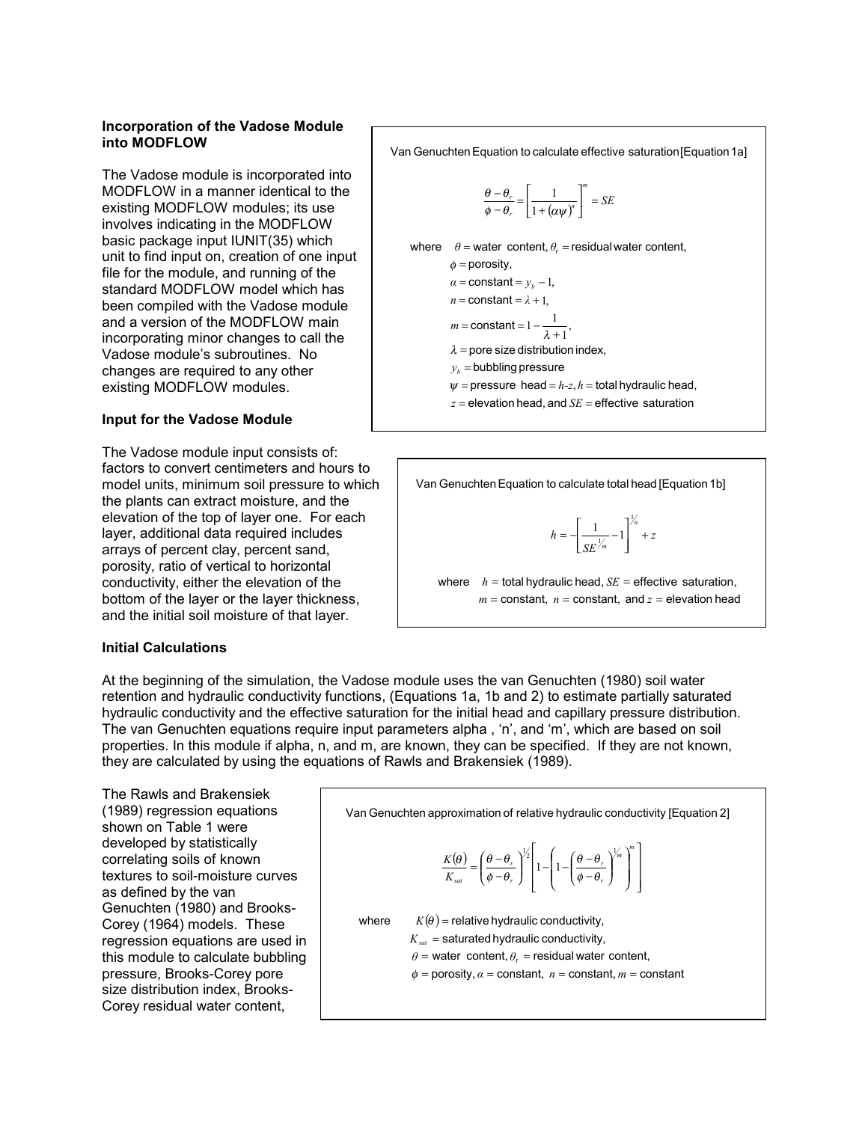### **Incorporation of the Vadose Module into MODFLOW**

The Vadose module is incorporated into MODFLOW in a manner identical to the existing MODFLOW modules; its use involves indicating in the MODFLOW basic package input IUNIT(35) which unit to find input on, creation of one input file for the module, and running of the standard MODFLOW model which has been compiled with the Vadose module and a version of the MODFLOW main incorporating minor changes to call the Vadose module's subroutines. No changes are required to any other existing MODFLOW modules.

## **Input for the Vadose Module**

The Vadose module input consists of: factors to convert centimeters and hours to model units, minimum soil pressure to which the plants can extract moisture, and the elevation of the top of layer one. For each layer, additional data required includes arrays of percent clay, percent sand, porosity, ratio of vertical to horizontal conductivity, either the elevation of the bottom of the layer or the layer thickness, and the initial soil moisture of that layer.

### **Initial Calculations**

 $\left[\frac{1}{1+(\alpha\psi)^n}\right]^n =$  $z$  = elevation head, and  $SE$  = effective saturation  $\psi$  = pressure head =  $h$ -z,  $h$  = total hydraulic head,  $y_b =$  bubbling pressure  $\lambda$  = pore size distribution index,  $m = \text{constant} = 1 - \frac{1}{\lambda + 1}$  $n =$  constant =  $\lambda + 1$ ,  $\alpha$  = constant =  $y_b - 1$ ,  $\phi$  = porosity,  $\theta =$  water content,  $\theta_{\rm r}$  = residual water content, Van Genuchten Equation to calculate effective saturation [Equation 1a]  $\left[-\frac{\theta_r}{-\theta_r} = \frac{1}{1 + (\alpha \psi)^n}\right]$  = SE *m*  $\left[1 + (\alpha \psi)^n\right]$  $\left| \frac{r}{r} \right| = \frac{1}{1}$ , 1  $\phi - \theta_r \quad | \quad 1 + (\alpha \psi$  $\theta-\theta$ 

Van Genuchten Equation to calculate total head [Equation 1b]

$$
h = -\left[\frac{1}{SE^{\frac{1}{m}}} - 1\right]^{\frac{1}{n}} + z
$$

 $m =$  constant,  $n =$  constant, and  $z =$  elevation head where  $h =$  total hydraulic head,  $SE =$  effective saturation,

At the beginning of the simulation, the Vadose module uses the van Genuchten (1980) soil water retention and hydraulic conductivity functions, (Equations 1a, 1b and 2) to estimate partially saturated hydraulic conductivity and the effective saturation for the initial head and capillary pressure distribution. The van Genuchten equations require input parameters alpha , 'n', and 'm', which are based on soil properties. In this module if alpha, n, and m, are known, they can be specified. If they are not known, they are calculated by using the equations of Rawls and Brakensiek (1989).

The Rawls and Brakensiek (1989) regression equations shown on Table 1 were developed by statistically correlating soils of known textures to soil-moisture curves as defined by the van Genuchten (1980) and Brooks-Corey (1964) models. These regression equations are used in this module to calculate bubbling pressure, Brooks-Corey pore size distribution index, Brooks-Corey residual water content,

Van Genuchten approximation of relative hydraulic conductivity [Equation 2]

$$
\frac{K(\theta)}{K_{sat}} = \left(\frac{\theta - \theta_r}{\phi - \theta_r}\right)^{1/2} \left[1 - \left(1 - \left(\frac{\theta - \theta_r}{\phi - \theta_r}\right)^{1/2}\right)^{m}\right]
$$

where  $K(\theta )$  = relative hydraulic conductivity,  $\phi$  = porosity,  $\alpha$  = constant,  $n$  = constant,  $m$  = constant  $\theta$  = water content,  $\theta_r$  = residual water content,  $K_{\rm \scriptscriptstyle sat}$  = saturated hydraulic conductivity,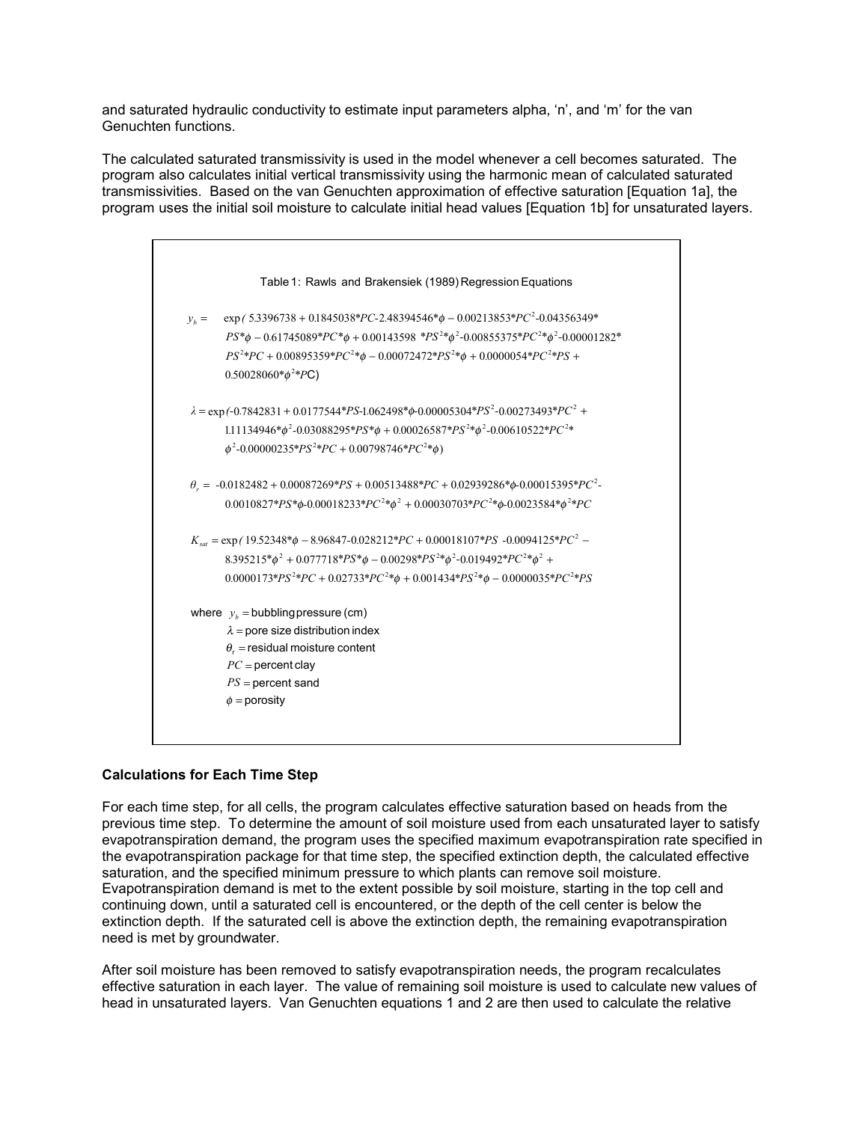and saturated hydraulic conductivity to estimate input parameters alpha, 'n', and 'm' for the van Genuchten functions.

The calculated saturated transmissivity is used in the model whenever a cell becomes saturated. The program also calculates initial vertical transmissivity using the harmonic mean of calculated saturated transmissivities. Based on the van Genuchten approximation of effective saturation [Equation 1a], the program uses the initial soil moisture to calculate initial head values [Equation 1b] for unsaturated layers.

|         | Table 1: Rawls and Brakensiek (1989) Regression Equations                                                |
|---------|----------------------------------------------------------------------------------------------------------|
| $y_h =$ | $\exp$ (5.3396738 + 0.1845038*PC-2.48394546* $\phi$ – 0.00213853*PC <sup>2</sup> -0.04356349*            |
|         | $PS^*\phi - 0.61745089^*PC^*\phi + 0.00143598^*PS^{2*}\phi^2 - 0.00855375^*PC^{2*}\phi^2 - 0.00001282^*$ |
|         | $PS^{2*}PC + 0.00895359*PC^{2*}\phi - 0.00072472*PS^{2*}\phi + 0.0000054*PC^{2*}PS +$                    |
|         | $0.50028060*_{\phi}^{2*}PC$                                                                              |
|         | $\lambda = \exp(-0.7842831 + 0.0177544 * PS-1.062498 * \phi - 0.00005304 * PS^2 - 0.00273493 * PC^2 +$   |
|         | 1.11134946* $\phi^2$ -0.03088295* $PS^*\phi$ + 0.00026587* $PS^{2*}\phi^2$ -0.00610522* $PC^{2*}$        |
|         | $\phi^2$ -0.00000235*PS <sup>2*</sup> PC + 0.00798746*PC <sup>2*</sup> $\phi$ )                          |
|         | $\theta_r = -0.0182482 + 0.00087269*PS + 0.00513488*PC + 0.02939286* \phi - 0.00015395*PC^2$             |
|         | $0.0010827*PS* \phi - 0.00018233* PC^{2*} \phi^2 + 0.00030703* PC^{2*} \phi - 0.0023584* \phi^{2*} PC$   |
|         | $K_{sat}$ = exp (19.52348* $\phi$ – 8.96847-0.028212*PC + 0.00018107*PS -0.0094125*PC <sup>2</sup> –     |
|         | $8.395215*\phi^2 + 0.077718*PS*\phi - 0.00298*PS^{2*}\phi^2 - 0.019492*PC^{2*}\phi^2 +$                  |
|         | $0.0000173*PS^2*PC + 0.02733*PC^2*\phi + 0.001434*PS^2*\phi - 0.0000035*PC^2*PS$                         |
|         | where $y_h$ = bubbling pressure (cm)                                                                     |
|         | $\lambda$ = pore size distribution index                                                                 |
|         | $\theta_{r}$ = residual moisture content                                                                 |
|         | $PC =$ percent clay                                                                                      |
|         | $PS = percent$ sand                                                                                      |
|         | $\phi$ = porosity                                                                                        |

## **Calculations for Each Time Step**

For each time step, for all cells, the program calculates effective saturation based on heads from the previous time step. To determine the amount of soil moisture used from each unsaturated layer to satisfy evapotranspiration demand, the program uses the specified maximum evapotranspiration rate specified in the evapotranspiration package for that time step, the specified extinction depth, the calculated effective saturation, and the specified minimum pressure to which plants can remove soil moisture. Evapotranspiration demand is met to the extent possible by soil moisture, starting in the top cell and continuing down, until a saturated cell is encountered, or the depth of the cell center is below the extinction depth. If the saturated cell is above the extinction depth, the remaining evapotranspiration need is met by groundwater.

After soil moisture has been removed to satisfy evapotranspiration needs, the program recalculates effective saturation in each layer. The value of remaining soil moisture is used to calculate new values of head in unsaturated layers. Van Genuchten equations 1 and 2 are then used to calculate the relative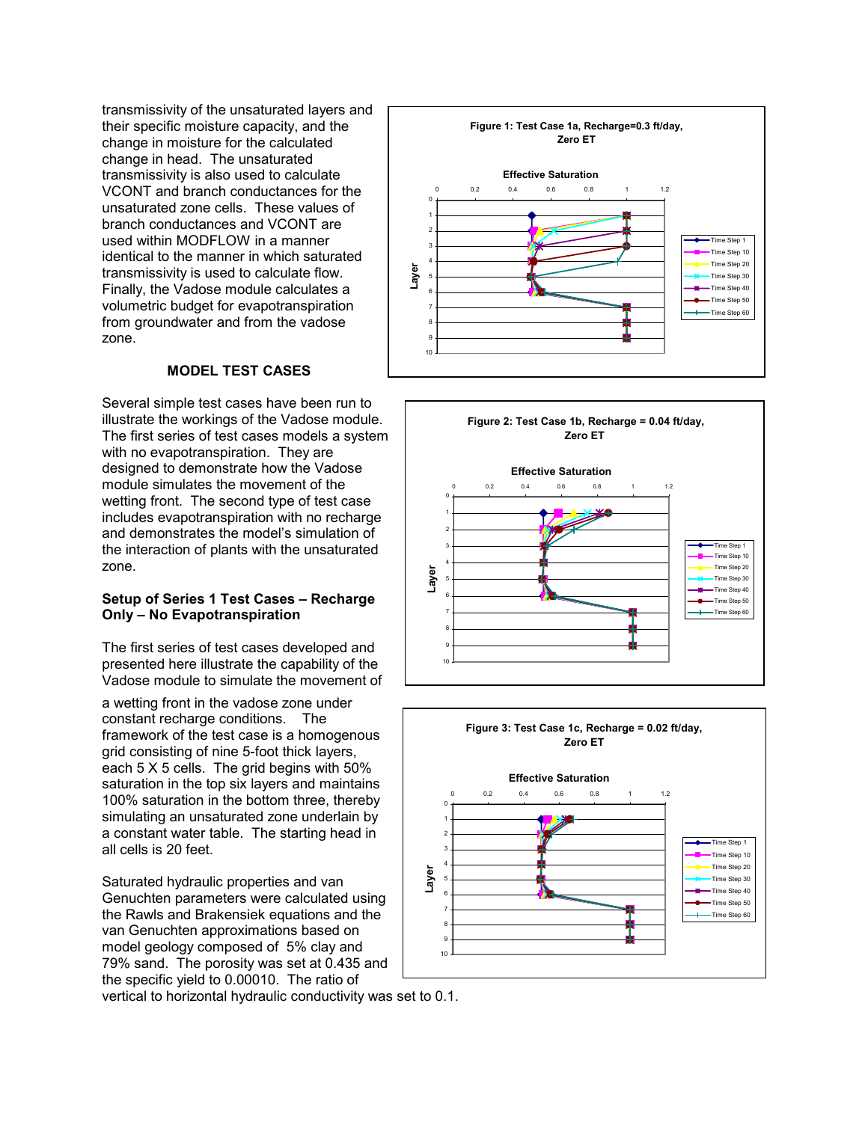transmissivity of the unsaturated layers and their specific moisture capacity, and the change in moisture for the calculated change in head. The unsaturated transmissivity is also used to calculate VCONT and branch conductances for the unsaturated zone cells. These values of branch conductances and VCONT are used within MODFLOW in a manner identical to the manner in which saturated transmissivity is used to calculate flow. Finally, the Vadose module calculates a volumetric budget for evapotranspiration from groundwater and from the vadose zone.

## **MODEL TEST CASES**

Several simple test cases have been run to illustrate the workings of the Vadose module. The first series of test cases models a system with no evapotranspiration. They are designed to demonstrate how the Vadose module simulates the movement of the wetting front. The second type of test case includes evapotranspiration with no recharge and demonstrates the model's simulation of the interaction of plants with the unsaturated zone.

### **Setup of Series 1 Test Cases – Recharge Only – No Evapotranspiration**

The first series of test cases developed and presented here illustrate the capability of the Vadose module to simulate the movement of

a wetting front in the vadose zone under constant recharge conditions. The framework of the test case is a homogenous grid consisting of nine 5-foot thick layers, each 5 X 5 cells. The grid begins with 50% saturation in the top six layers and maintains 100% saturation in the bottom three, thereby simulating an unsaturated zone underlain by a constant water table. The starting head in all cells is 20 feet.

Saturated hydraulic properties and van Genuchten parameters were calculated using the Rawls and Brakensiek equations and the van Genuchten approximations based on model geology composed of 5% clay and 79% sand. The porosity was set at 0.435 and the specific yield to 0.00010. The ratio of







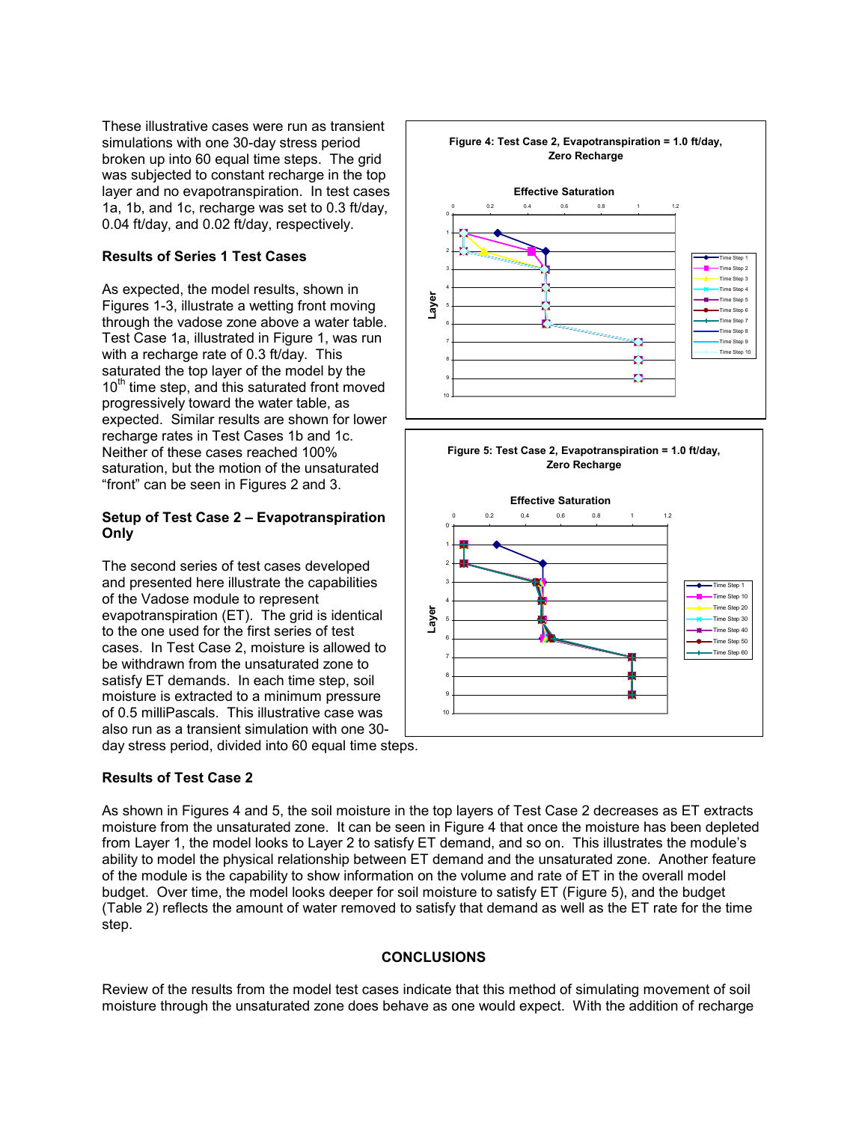These illustrative cases were run as transient simulations with one 30-day stress period broken up into 60 equal time steps. The grid was subjected to constant recharge in the top layer and no evapotranspiration. In test cases 1a, 1b, and 1c, recharge was set to 0.3 ft/day, 0.04 ft/day, and 0.02 ft/day, respectively.

## **Results of Series 1 Test Cases**

As expected, the model results, shown in Figures 1-3, illustrate a wetting front moving through the vadose zone above a water table. Test Case 1a, illustrated in Figure 1, was run with a recharge rate of 0.3 ft/day. This saturated the top layer of the model by the  $10<sup>th</sup>$  time step, and this saturated front moved progressively toward the water table, as expected. Similar results are shown for lower recharge rates in Test Cases 1b and 1c. Neither of these cases reached 100% saturation, but the motion of the unsaturated "front" can be seen in Figures 2 and 3.

### **Setup of Test Case 2 – Evapotranspiration Only**

The second series of test cases developed and presented here illustrate the capabilities of the Vadose module to represent evapotranspiration (ET). The grid is identical to the one used for the first series of test cases. In Test Case 2, moisture is allowed to be withdrawn from the unsaturated zone to satisfy ET demands. In each time step, soil moisture is extracted to a minimum pressure of 0.5 milliPascals. This illustrative case was also run as a transient simulation with one 30 day stress period, divided into 60 equal time steps.

### **Results of Test Case 2**

As shown in Figures 4 and 5, the soil moisture in the top layers of Test Case 2 decreases as ET extracts moisture from the unsaturated zone. It can be seen in Figure 4 that once the moisture has been depleted from Layer 1, the model looks to Layer 2 to satisfy ET demand, and so on. This illustrates the module's ability to model the physical relationship between ET demand and the unsaturated zone. Another feature of the module is the capability to show information on the volume and rate of ET in the overall model budget. Over time, the model looks deeper for soil moisture to satisfy ET (Figure 5), and the budget (Table 2) reflects the amount of water removed to satisfy that demand as well as the ET rate for the time step.

### **CONCLUSIONS**

Review of the results from the model test cases indicate that this method of simulating movement of soil moisture through the unsaturated zone does behave as one would expect. With the addition of recharge





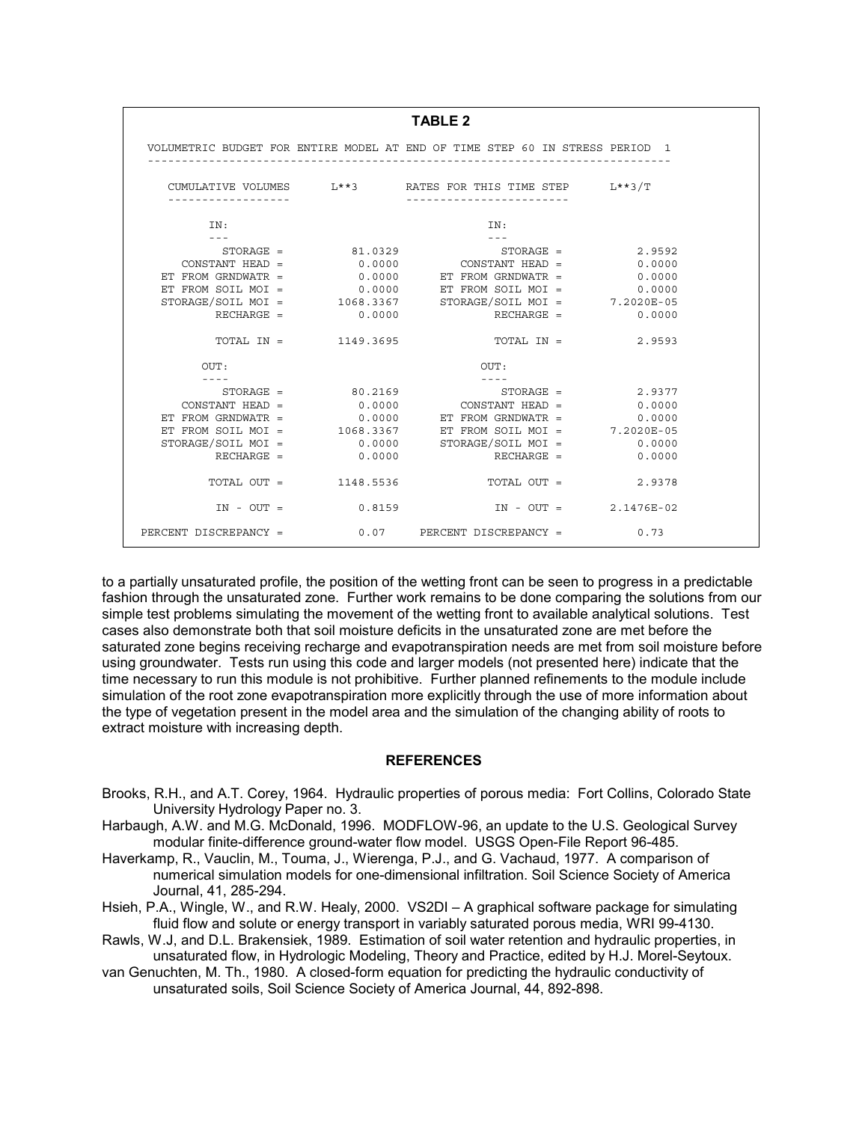| <b>TABLE 2</b>              |                         |                                                                              |        |  |  |
|-----------------------------|-------------------------|------------------------------------------------------------------------------|--------|--|--|
|                             |                         | VOLUMETRIC BUDGET FOR ENTIRE MODEL AT END OF TIME STEP 60 IN STRESS PERIOD 1 |        |  |  |
|                             |                         | CUMULATIVE VOLUMES L**3 RATES FOR THIS TIME STEP L**3/T                      |        |  |  |
| IN:                         |                         | IN:                                                                          |        |  |  |
|                             |                         | $STORAGE =$ 81.0329 STORAGE = 2.9592                                         |        |  |  |
|                             |                         | $CONFTANT HED = 0.0000$ CONSTANT HEAD = 0.0000                               |        |  |  |
| ET FROM GRNDWATR $=$        |                         | $0.0000$ ET FROM GRNDWATR =                                                  | 0.0000 |  |  |
| ET FROM SOIL MOI =          |                         | 0.0000 ET FROM SOIL MOI = 0.0000                                             |        |  |  |
|                             |                         | STORAGE/SOIL MOI = 1068.3367 STORAGE/SOIL MOI = 7.2020E-05                   |        |  |  |
|                             | $RECHARGE =$ 0.0000     | $RECHARGE =$ 0.0000                                                          |        |  |  |
|                             | TOTAL IN = 1149.3695    | $TOTAL IN = 2.9593$                                                          |        |  |  |
| OUT:                        |                         | OUT:                                                                         |        |  |  |
|                             |                         |                                                                              |        |  |  |
|                             |                         | $STORAGE =$ 80.2169 STORAGE = 2.9377                                         |        |  |  |
| $CONSTANT HEAD =$           | 0.0000                  | $CONSTANT HEAD = 0.0000$                                                     |        |  |  |
| ET FROM GRNDWATR $=$        |                         | $0.0000$ ET FROM GRNDWATR =                                                  | 0.0000 |  |  |
|                             |                         | ET FROM SOIL MOI = 1068.3367 ET FROM SOIL MOI = 7.2020E-05                   |        |  |  |
| $STORAGE/SOIL MOI = 0.0000$ |                         | $STORAGE/SOLL MOI = 0.0000$                                                  |        |  |  |
| $RECHARGE =$ 0.0000         |                         | $RECHARGE =$ 0.0000                                                          |        |  |  |
|                             | $TOTAL OUT = 1148.5536$ | $TOTAL OUT = 2.9378$                                                         |        |  |  |
|                             |                         | $IN - OUT =$ 0.8159 $IN - OUT =$ 2.1476E-02                                  |        |  |  |
|                             |                         | PERCENT DISCREPANCY = 0.07 PERCENT DISCREPANCY = 0.73                        |        |  |  |

to a partially unsaturated profile, the position of the wetting front can be seen to progress in a predictable fashion through the unsaturated zone. Further work remains to be done comparing the solutions from our simple test problems simulating the movement of the wetting front to available analytical solutions. Test cases also demonstrate both that soil moisture deficits in the unsaturated zone are met before the saturated zone begins receiving recharge and evapotranspiration needs are met from soil moisture before using groundwater. Tests run using this code and larger models (not presented here) indicate that the time necessary to run this module is not prohibitive. Further planned refinements to the module include simulation of the root zone evapotranspiration more explicitly through the use of more information about the type of vegetation present in the model area and the simulation of the changing ability of roots to extract moisture with increasing depth.

#### **REFERENCES**

- Brooks, R.H., and A.T. Corey, 1964. Hydraulic properties of porous media: Fort Collins, Colorado State University Hydrology Paper no. 3.
- Harbaugh, A.W. and M.G. McDonald, 1996. MODFLOW-96, an update to the U.S. Geological Survey modular finite-difference ground-water flow model. USGS Open-File Report 96-485.
- Haverkamp, R., Vauclin, M., Touma, J., Wierenga, P.J., and G. Vachaud, 1977. A comparison of numerical simulation models for one-dimensional infiltration. Soil Science Society of America Journal, 41, 285-294.
- Hsieh, P.A., Wingle, W., and R.W. Healy, 2000. VS2DI A graphical software package for simulating fluid flow and solute or energy transport in variably saturated porous media, WRI 99-4130.
- Rawls, W.J, and D.L. Brakensiek, 1989. Estimation of soil water retention and hydraulic properties, in unsaturated flow, in Hydrologic Modeling, Theory and Practice, edited by H.J. Morel-Seytoux.
- van Genuchten, M. Th., 1980. A closed-form equation for predicting the hydraulic conductivity of unsaturated soils, Soil Science Society of America Journal, 44, 892-898.